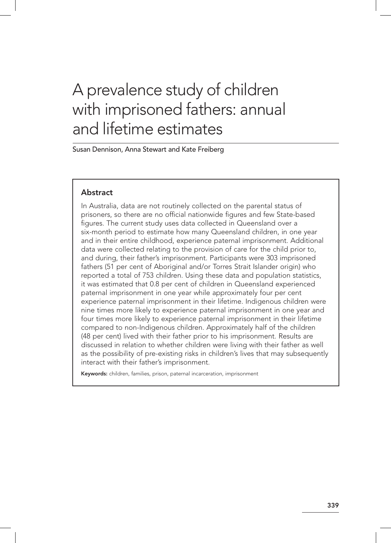# A prevalence study of children with imprisoned fathers: annual and lifetime estimates

Susan Dennison, Anna Stewart and Kate Freiberg

# **Abstract**

In Australia, data are not routinely collected on the parental status of prisoners, so there are no official nationwide figures and few State‑based figures. The current study uses data collected in Queensland over a six‑month period to estimate how many Queensland children, in one year and in their entire childhood, experience paternal imprisonment. Additional data were collected relating to the provision of care for the child prior to, and during, their father's imprisonment. Participants were 303 imprisoned fathers (51 per cent of Aboriginal and/or Torres Strait Islander origin) who reported a total of 753 children. Using these data and population statistics, it was estimated that 0.8 per cent of children in Queensland experienced paternal imprisonment in one year while approximately four per cent experience paternal imprisonment in their lifetime. Indigenous children were nine times more likely to experience paternal imprisonment in one year and four times more likely to experience paternal imprisonment in their lifetime compared to non‑Indigenous children. Approximately half of the children (48 per cent) lived with their father prior to his imprisonment. Results are discussed in relation to whether children were living with their father as well as the possibility of pre‑existing risks in children's lives that may subsequently interact with their father's imprisonment.

Keywords: children, families, prison, paternal incarceration, imprisonment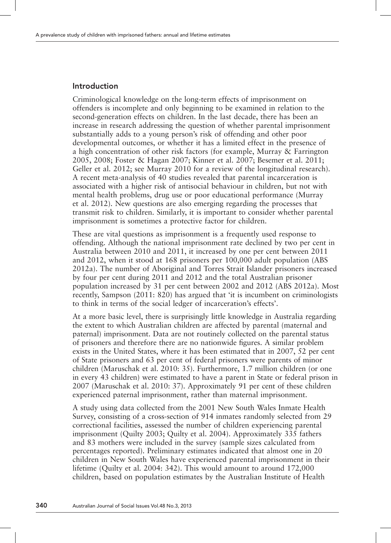# Introduction

Criminological knowledge on the long-term effects of imprisonment on offenders is incomplete and only beginning to be examined in relation to the second-generation effects on children. In the last decade, there has been an increase in research addressing the question of whether parental imprisonment substantially adds to a young person's risk of offending and other poor developmental outcomes, or whether it has a limited effect in the presence of a high concentration of other risk factors (for example, Murray & Farrington 2005, 2008; Foster & Hagan 2007; Kinner et al. 2007; Besemer et al. 2011; Geller et al. 2012; see Murray 2010 for a review of the longitudinal research). A recent meta-analysis of 40 studies revealed that parental incarceration is associated with a higher risk of antisocial behaviour in children, but not with mental health problems, drug use or poor educational performance (Murray et al. 2012). New questions are also emerging regarding the processes that transmit risk to children. Similarly, it is important to consider whether parental imprisonment is sometimes a protective factor for children.

These are vital questions as imprisonment is a frequently used response to offending. Although the national imprisonment rate declined by two per cent in Australia between 2010 and 2011, it increased by one per cent between 2011 and 2012, when it stood at 168 prisoners per 100,000 adult population (ABS 2012a). The number of Aboriginal and Torres Strait Islander prisoners increased by four per cent during 2011 and 2012 and the total Australian prisoner population increased by 31 per cent between 2002 and 2012 (ABS 2012a). Most recently, Sampson (2011: 820) has argued that 'it is incumbent on criminologists to think in terms of the social ledger of incarceration's effects'.

At a more basic level, there is surprisingly little knowledge in Australia regarding the extent to which Australian children are affected by parental (maternal and paternal) imprisonment. Data are not routinely collected on the parental status of prisoners and therefore there are no nationwide figures. A similar problem exists in the United States, where it has been estimated that in 2007, 52 per cent of State prisoners and 63 per cent of federal prisoners were parents of minor children (Maruschak et al. 2010: 35). Furthermore, 1.7 million children (or one in every 43 children) were estimated to have a parent in State or federal prison in 2007 (Maruschak et al. 2010: 37). Approximately 91 per cent of these children experienced paternal imprisonment, rather than maternal imprisonment.

A study using data collected from the 2001 New South Wales Inmate Health Survey, consisting of a cross-section of 914 inmates randomly selected from 29 correctional facilities, assessed the number of children experiencing parental imprisonment (Quilty 2003; Quilty et al. 2004). Approximately 335 fathers and 83 mothers were included in the survey (sample sizes calculated from percentages reported). Preliminary estimates indicated that almost one in 20 children in New South Wales have experienced parental imprisonment in their lifetime (Quilty et al. 2004: 342). This would amount to around 172,000 children, based on population estimates by the Australian Institute of Health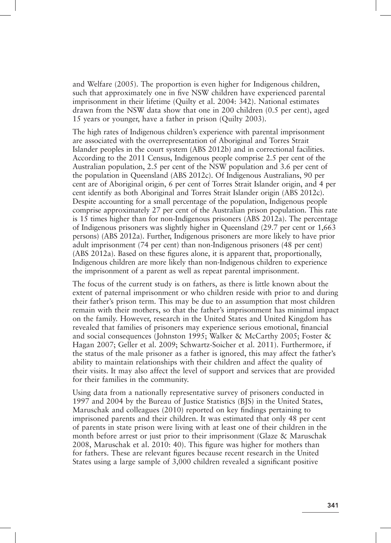and Welfare (2005). The proportion is even higher for Indigenous children, such that approximately one in five NSW children have experienced parental imprisonment in their lifetime (Quilty et al. 2004: 342). National estimates drawn from the NSW data show that one in 200 children (0.5 per cent), aged 15 years or younger, have a father in prison (Quilty 2003).

The high rates of Indigenous children's experience with parental imprisonment are associated with the overrepresentation of Aboriginal and Torres Strait Islander peoples in the court system (ABS 2012b) and in correctional facilities. According to the 2011 Census, Indigenous people comprise 2.5 per cent of the Australian population, 2.5 per cent of the NSW population and 3.6 per cent of the population in Queensland (ABS 2012c). Of Indigenous Australians, 90 per cent are of Aboriginal origin, 6 per cent of Torres Strait Islander origin, and 4 per cent identify as both Aboriginal and Torres Strait Islander origin (ABS 2012c). Despite accounting for a small percentage of the population, Indigenous people comprise approximately 27 per cent of the Australian prison population. This rate is 15 times higher than for non-Indigenous prisoners (ABS 2012a). The percentage of Indigenous prisoners was slightly higher in Queensland (29.7 per cent or 1,663 persons) (ABS 2012a). Further, Indigenous prisoners are more likely to have prior adult imprisonment (74 per cent) than non-Indigenous prisoners (48 per cent) (ABS 2012a). Based on these figures alone, it is apparent that, proportionally, Indigenous children are more likely than non-Indigenous children to experience the imprisonment of a parent as well as repeat parental imprisonment.

The focus of the current study is on fathers, as there is little known about the extent of paternal imprisonment or who children reside with prior to and during their father's prison term. This may be due to an assumption that most children remain with their mothers, so that the father's imprisonment has minimal impact on the family. However, research in the United States and United Kingdom has revealed that families of prisoners may experience serious emotional, financial and social consequences (Johnston 1995; Walker & McCarthy 2005; Foster & Hagan 2007; Geller et al. 2009; Schwartz-Soicher et al. 2011). Furthermore, if the status of the male prisoner as a father is ignored, this may affect the father's ability to maintain relationships with their children and affect the quality of their visits. It may also affect the level of support and services that are provided for their families in the community.

Using data from a nationally representative survey of prisoners conducted in 1997 and 2004 by the Bureau of Justice Statistics (BJS) in the United States, Maruschak and colleagues (2010) reported on key findings pertaining to imprisoned parents and their children. It was estimated that only 48 per cent of parents in state prison were living with at least one of their children in the month before arrest or just prior to their imprisonment (Glaze & Maruschak 2008, Maruschak et al. 2010: 40). This figure was higher for mothers than for fathers. These are relevant figures because recent research in the United States using a large sample of 3,000 children revealed a significant positive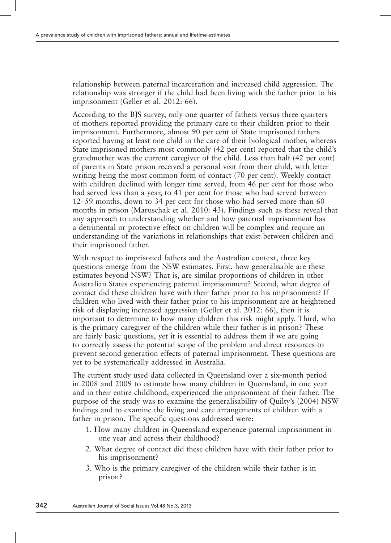relationship between paternal incarceration and increased child aggression. The relationship was stronger if the child had been living with the father prior to his imprisonment (Geller et al. 2012: 66).

According to the BJS survey, only one quarter of fathers versus three quarters of mothers reported providing the primary care to their children prior to their imprisonment. Furthermore, almost 90 per cent of State imprisoned fathers reported having at least one child in the care of their biological mother, whereas State imprisoned mothers most commonly (42 per cent) reported that the child's grandmother was the current caregiver of the child. Less than half (42 per cent) of parents in State prison received a personal visit from their child, with letter writing being the most common form of contact (70 per cent). Weekly contact with children declined with longer time served, from 46 per cent for those who had served less than a year, to 41 per cent for those who had served between 12–59 months, down to 34 per cent for those who had served more than 60 months in prison (Maruschak et al. 2010: 43). Findings such as these reveal that any approach to understanding whether and how paternal imprisonment has a detrimental or protective effect on children will be complex and require an understanding of the variations in relationships that exist between children and their imprisoned father.

With respect to imprisoned fathers and the Australian context, three key questions emerge from the NSW estimates. First, how generalisable are these estimates beyond NSW? That is, are similar proportions of children in other Australian States experiencing paternal imprisonment? Second, what degree of contact did these children have with their father prior to his imprisonment? If children who lived with their father prior to his imprisonment are at heightened risk of displaying increased aggression (Geller et al. 2012: 66), then it is important to determine to how many children this risk might apply. Third, who is the primary caregiver of the children while their father is in prison? These are fairly basic questions, yet it is essential to address them if we are going to correctly assess the potential scope of the problem and direct resources to prevent second-generation effects of paternal imprisonment. These questions are yet to be systematically addressed in Australia.

The current study used data collected in Queensland over a six-month period in 2008 and 2009 to estimate how many children in Queensland, in one year and in their entire childhood, experienced the imprisonment of their father. The purpose of the study was to examine the generalisability of Quilty's (2004) NSW findings and to examine the living and care arrangements of children with a father in prison. The specific questions addressed were:

- 1. How many children in Queensland experience paternal imprisonment in one year and across their childhood?
- 2. What degree of contact did these children have with their father prior to his imprisonment?
- 3. Who is the primary caregiver of the children while their father is in prison?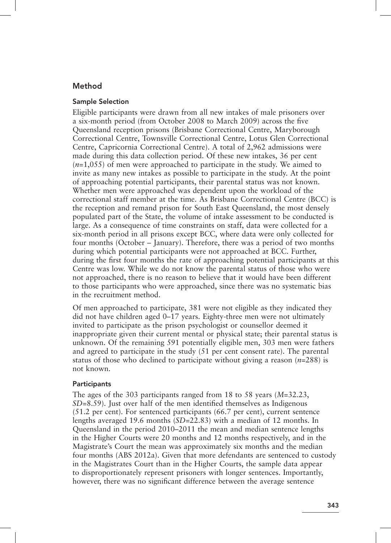# Method

#### Sample Selection

Eligible participants were drawn from all new intakes of male prisoners over a six-month period (from October 2008 to March 2009) across the five Queensland reception prisons (Brisbane Correctional Centre, Maryborough Correctional Centre, Townsville Correctional Centre, Lotus Glen Correctional Centre, Capricornia Correctional Centre). A total of 2,962 admissions were made during this data collection period. Of these new intakes, 36 per cent (*n*=1,055) of men were approached to participate in the study. We aimed to invite as many new intakes as possible to participate in the study. At the point of approaching potential participants, their parental status was not known. Whether men were approached was dependent upon the workload of the correctional staff member at the time. As Brisbane Correctional Centre (BCC) is the reception and remand prison for South East Queensland, the most densely populated part of the State, the volume of intake assessment to be conducted is large. As a consequence of time constraints on staff, data were collected for a six-month period in all prisons except BCC, where data were only collected for four months (October – January). Therefore, there was a period of two months during which potential participants were not approached at BCC. Further, during the first four months the rate of approaching potential participants at this Centre was low. While we do not know the parental status of those who were not approached, there is no reason to believe that it would have been different to those participants who were approached, since there was no systematic bias in the recruitment method.

Of men approached to participate, 381 were not eligible as they indicated they did not have children aged 0–17 years. Eighty-three men were not ultimately invited to participate as the prison psychologist or counsellor deemed it inappropriate given their current mental or physical state; their parental status is unknown. Of the remaining 591 potentially eligible men, 303 men were fathers and agreed to participate in the study (51 per cent consent rate). The parental status of those who declined to participate without giving a reason (*n*=288) is not known.

#### **Participants**

The ages of the 303 participants ranged from 18 to 58 years (*M*=32.23, *SD*=8.59). Just over half of the men identified themselves as Indigenous (51.2 per cent). For sentenced participants (66.7 per cent), current sentence lengths averaged 19.6 months (*SD*=22.83) with a median of 12 months. In Queensland in the period 2010–2011 the mean and median sentence lengths in the Higher Courts were 20 months and 12 months respectively, and in the Magistrate's Court the mean was approximately six months and the median four months (ABS 2012a). Given that more defendants are sentenced to custody in the Magistrates Court than in the Higher Courts, the sample data appear to disproportionately represent prisoners with longer sentences. Importantly, however, there was no significant difference between the average sentence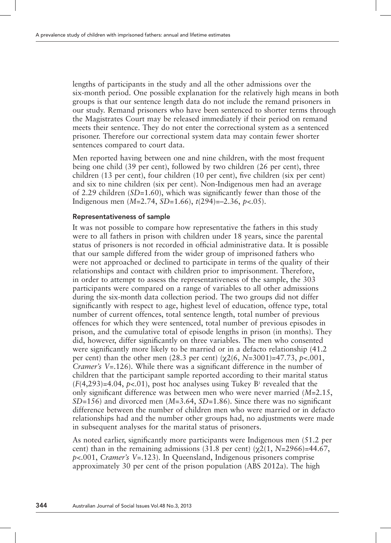lengths of participants in the study and all the other admissions over the six-month period. One possible explanation for the relatively high means in both groups is that our sentence length data do not include the remand prisoners in our study. Remand prisoners who have been sentenced to shorter terms through the Magistrates Court may be released immediately if their period on remand meets their sentence. They do not enter the correctional system as a sentenced prisoner. Therefore our correctional system data may contain fewer shorter sentences compared to court data.

Men reported having between one and nine children, with the most frequent being one child (39 per cent), followed by two children (26 per cent), three children (13 per cent), four children (10 per cent), five children (six per cent) and six to nine children (six per cent). Non-Indigenous men had an average of 2.29 children (*SD*=1.60), which was significantly fewer than those of the Indigenous men (*M*=2.74, *SD=*1.66), *t*(294)=–2.36, *p*<.05).

#### Representativeness of sample

It was not possible to compare how representative the fathers in this study were to all fathers in prison with children under 18 years, since the parental status of prisoners is not recorded in official administrative data. It is possible that our sample differed from the wider group of imprisoned fathers who were not approached or declined to participate in terms of the quality of their relationships and contact with children prior to imprisonment. Therefore, in order to attempt to assess the representativeness of the sample, the 303 participants were compared on a range of variables to all other admissions during the six-month data collection period. The two groups did not differ significantly with respect to age, highest level of education, offence type, total number of current offences, total sentence length, total number of previous offences for which they were sentenced, total number of previous episodes in prison, and the cumulative total of episode lengths in prison (in months). They did, however, differ significantly on three variables. The men who consented were significantly more likely to be married or in a defacto relationship (41.2 per cent) than the other men  $(28.3 \text{ per cent}) (\chi(266, N=3001)) = 47.73$ ,  $p < .001$ , *Cramer's V*=.126). While there was a significant difference in the number of children that the participant sample reported according to their marital status  $(F(4, 293)=4.04, p<0.1)$ , post hoc analyses using Tukey B<sup>1</sup> revealed that the only significant difference was between men who were never married (*M*=2.15, *SD*=156) and divorced men (*M*=3.64, *SD*=1.86). Since there was no significant difference between the number of children men who were married or in defacto relationships had and the number other groups had, no adjustments were made in subsequent analyses for the marital status of prisoners.

As noted earlier, significantly more participants were Indigenous men (51.2 per cent) than in the remaining admissions (31.8 per cent)  $(\gamma 2(1, N=2966)=44.67)$ , *p*<.001, *Cramer's V*=.123). In Queensland, Indigenous prisoners comprise approximately 30 per cent of the prison population (ABS 2012a). The high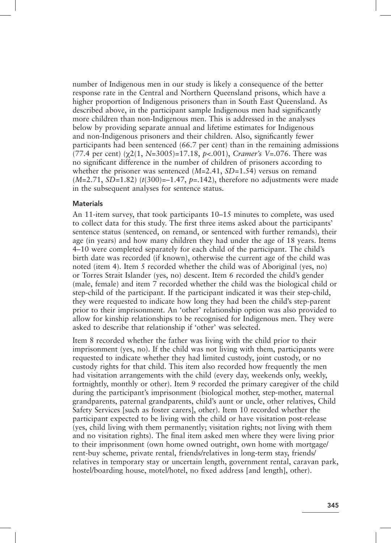number of Indigenous men in our study is likely a consequence of the better response rate in the Central and Northern Queensland prisons, which have a higher proportion of Indigenous prisoners than in South East Queensland. As described above, in the participant sample Indigenous men had significantly more children than non-Indigenous men. This is addressed in the analyses below by providing separate annual and lifetime estimates for Indigenous and non-Indigenous prisoners and their children. Also, significantly fewer participants had been sentenced (66.7 per cent) than in the remaining admissions (77.4 per cent)  $(\chi^2(1, N=3005)=17.18, p<.001)$ , *Cramer's V*=.076. There was no significant difference in the number of children of prisoners according to whether the prisoner was sentenced (*M*=2.41, *SD*=1.54) versus on remand  $(M=2.71, SD=1.82)$  ( $t(300)=-1.47, p=.142$ ), therefore no adjustments were made in the subsequent analyses for sentence status.

#### **Materials**

An 11-item survey, that took participants 10–15 minutes to complete, was used to collect data for this study. The first three items asked about the participants' sentence status (sentenced, on remand, or sentenced with further remands), their age (in years) and how many children they had under the age of 18 years. Items 4–10 were completed separately for each child of the participant. The child's birth date was recorded (if known), otherwise the current age of the child was noted (item 4). Item 5 recorded whether the child was of Aboriginal (yes, no) or Torres Strait Islander (yes, no) descent. Item 6 recorded the child's gender (male, female) and item 7 recorded whether the child was the biological child or step-child of the participant. If the participant indicated it was their step-child, they were requested to indicate how long they had been the child's step-parent prior to their imprisonment. An 'other' relationship option was also provided to allow for kinship relationships to be recognised for Indigenous men. They were asked to describe that relationship if 'other' was selected.

Item 8 recorded whether the father was living with the child prior to their imprisonment (yes, no). If the child was not living with them, participants were requested to indicate whether they had limited custody, joint custody, or no custody rights for that child. This item also recorded how frequently the men had visitation arrangements with the child (every day, weekends only, weekly, fortnightly, monthly or other). Item 9 recorded the primary caregiver of the child during the participant's imprisonment (biological mother, step-mother, maternal grandparents, paternal grandparents, child's aunt or uncle, other relatives, Child Safety Services [such as foster carers], other). Item 10 recorded whether the participant expected to be living with the child or have visitation post-release (yes, child living with them permanently; visitation rights; not living with them and no visitation rights). The final item asked men where they were living prior to their imprisonment (own home owned outright, own home with mortgage/ rent-buy scheme, private rental, friends/relatives in long-term stay, friends/ relatives in temporary stay or uncertain length, government rental, caravan park, hostel/boarding house, motel/hotel, no fixed address [and length], other).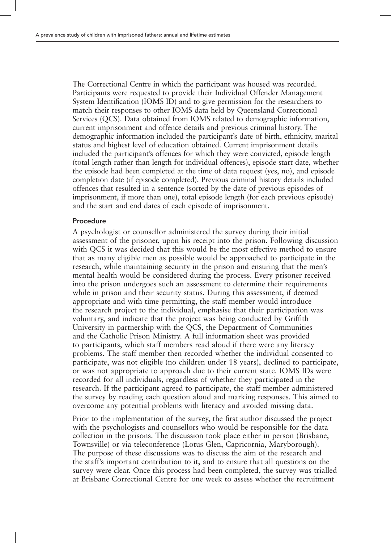The Correctional Centre in which the participant was housed was recorded. Participants were requested to provide their Individual Offender Management System Identification (IOMS ID) and to give permission for the researchers to match their responses to other IOMS data held by Queensland Correctional Services (QCS). Data obtained from IOMS related to demographic information, current imprisonment and offence details and previous criminal history. The demographic information included the participant's date of birth, ethnicity, marital status and highest level of education obtained. Current imprisonment details included the participant's offences for which they were convicted, episode length (total length rather than length for individual offences), episode start date, whether the episode had been completed at the time of data request (yes, no), and episode completion date (if episode completed). Previous criminal history details included offences that resulted in a sentence (sorted by the date of previous episodes of imprisonment, if more than one), total episode length (for each previous episode) and the start and end dates of each episode of imprisonment.

#### Procedure

A psychologist or counsellor administered the survey during their initial assessment of the prisoner, upon his receipt into the prison. Following discussion with QCS it was decided that this would be the most effective method to ensure that as many eligible men as possible would be approached to participate in the research, while maintaining security in the prison and ensuring that the men's mental health would be considered during the process. Every prisoner received into the prison undergoes such an assessment to determine their requirements while in prison and their security status. During this assessment, if deemed appropriate and with time permitting, the staff member would introduce the research project to the individual, emphasise that their participation was voluntary, and indicate that the project was being conducted by Griffith University in partnership with the QCS, the Department of Communities and the Catholic Prison Ministry. A full information sheet was provided to participants, which staff members read aloud if there were any literacy problems. The staff member then recorded whether the individual consented to participate, was not eligible (no children under 18 years), declined to participate, or was not appropriate to approach due to their current state. IOMS IDs were recorded for all individuals, regardless of whether they participated in the research. If the participant agreed to participate, the staff member administered the survey by reading each question aloud and marking responses. This aimed to overcome any potential problems with literacy and avoided missing data.

Prior to the implementation of the survey, the first author discussed the project with the psychologists and counsellors who would be responsible for the data collection in the prisons. The discussion took place either in person (Brisbane, Townsville) or via teleconference (Lotus Glen, Capricornia, Maryborough). The purpose of these discussions was to discuss the aim of the research and the staff's important contribution to it, and to ensure that all questions on the survey were clear. Once this process had been completed, the survey was trialled at Brisbane Correctional Centre for one week to assess whether the recruitment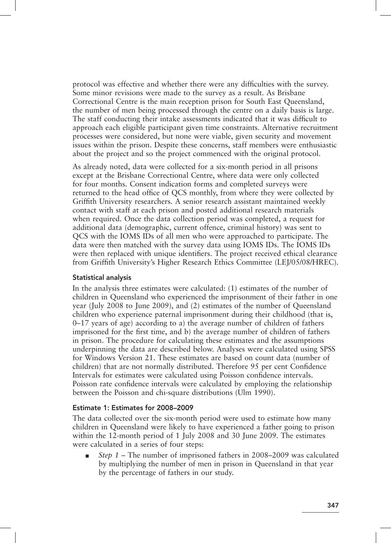protocol was effective and whether there were any difficulties with the survey. Some minor revisions were made to the survey as a result. As Brisbane Correctional Centre is the main reception prison for South East Queensland, the number of men being processed through the centre on a daily basis is large. The staff conducting their intake assessments indicated that it was difficult to approach each eligible participant given time constraints. Alternative recruitment processes were considered, but none were viable, given security and movement issues within the prison. Despite these concerns, staff members were enthusiastic about the project and so the project commenced with the original protocol.

As already noted, data were collected for a six-month period in all prisons except at the Brisbane Correctional Centre, where data were only collected for four months. Consent indication forms and completed surveys were returned to the head office of QCS monthly, from where they were collected by Griffith University researchers. A senior research assistant maintained weekly contact with staff at each prison and posted additional research materials when required. Once the data collection period was completed, a request for additional data (demographic, current offence, criminal history) was sent to QCS with the IOMS IDs of all men who were approached to participate. The data were then matched with the survey data using IOMS IDs. The IOMS IDs were then replaced with unique identifiers. The project received ethical clearance from Griffith University's Higher Research Ethics Committee (LEJ/05/08/HREC).

## Statistical analysis

In the analysis three estimates were calculated: (1) estimates of the number of children in Queensland who experienced the imprisonment of their father in one year (July 2008 to June 2009), and (2) estimates of the number of Queensland children who experience paternal imprisonment during their childhood (that is,  $0-17$  years of age) according to a) the average number of children of fathers imprisoned for the first time, and b) the average number of children of fathers in prison. The procedure for calculating these estimates and the assumptions underpinning the data are described below. Analyses were calculated using SPSS for Windows Version 21. These estimates are based on count data (number of children) that are not normally distributed. Therefore 95 per cent Confidence Intervals for estimates were calculated using Poisson confidence intervals. Poisson rate confidence intervals were calculated by employing the relationship between the Poisson and chi-square distributions (Ulm 1990).

## Estimate 1: Estimates for 2008–2009

The data collected over the six-month period were used to estimate how many children in Queensland were likely to have experienced a father going to prison within the 12-month period of 1 July 2008 and 30 June 2009. The estimates were calculated in a series of four steps:

■ *Step 1* – The number of imprisoned fathers in 2008–2009 was calculated by multiplying the number of men in prison in Queensland in that year by the percentage of fathers in our study.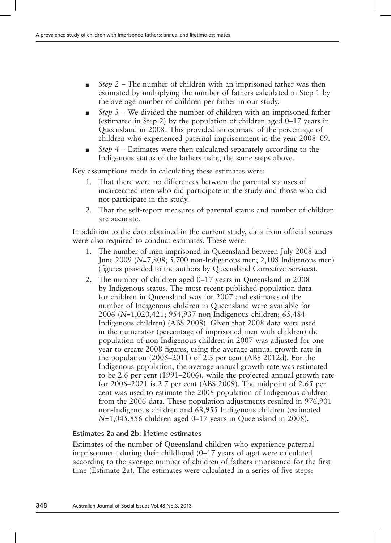- *Step 2* The number of children with an imprisoned father was then estimated by multiplying the number of fathers calculated in Step 1 by the average number of children per father in our study.
- *Step 3* We divided the number of children with an imprisoned father (estimated in Step 2) by the population of children aged 0–17 years in Queensland in 2008. This provided an estimate of the percentage of children who experienced paternal imprisonment in the year 2008–09.
- *Step 4* Estimates were then calculated separately according to the Indigenous status of the fathers using the same steps above.

Key assumptions made in calculating these estimates were:

- 1. That there were no differences between the parental statuses of incarcerated men who did participate in the study and those who did not participate in the study.
- 2. That the self-report measures of parental status and number of children are accurate.

In addition to the data obtained in the current study, data from official sources were also required to conduct estimates. These were:

- 1. The number of men imprisoned in Queensland between July 2008 and June 2009 (*N*=7,808; 5,700 non-Indigenous men; 2,108 Indigenous men) (figures provided to the authors by Queensland Corrective Services).
- 2. The number of children aged 0–17 years in Queensland in 2008 by Indigenous status. The most recent published population data for children in Queensland was for 2007 and estimates of the number of Indigenous children in Queensland were available for 2006 (*N*=1,020,421; 954,937 non-Indigenous children; 65,484 Indigenous children) (ABS 2008). Given that 2008 data were used in the numerator (percentage of imprisoned men with children) the population of non-Indigenous children in 2007 was adjusted for one year to create 2008 figures, using the average annual growth rate in the population (2006–2011) of 2.3 per cent (ABS 2012d). For the Indigenous population, the average annual growth rate was estimated to be 2.6 per cent (1991–2006), while the projected annual growth rate for 2006–2021 is 2.7 per cent (ABS 2009). The midpoint of 2.65 per cent was used to estimate the 2008 population of Indigenous children from the 2006 data. These population adjustments resulted in 976,901 non-Indigenous children and 68,955 Indigenous children (estimated *N*=1,045,856 children aged 0–17 years in Queensland in 2008).

## Estimates 2a and 2b: lifetime estimates

Estimates of the number of Queensland children who experience paternal imprisonment during their childhood (0–17 years of age) were calculated according to the average number of children of fathers imprisoned for the first time (Estimate 2a). The estimates were calculated in a series of five steps: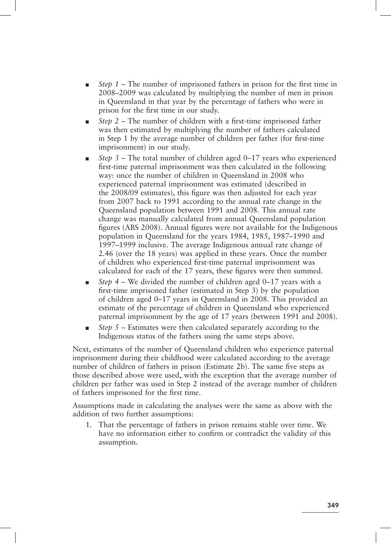- Step 1 The number of imprisoned fathers in prison for the first time in 2008–2009 was calculated by multiplying the number of men in prison in Queensland in that year by the percentage of fathers who were in prison for the first time in our study.
- *Step 2* The number of children with a first-time imprisoned father was then estimated by multiplying the number of fathers calculated in Step 1 by the average number of children per father (for first-time imprisonment) in our study.
- *Step 3* The total number of children aged 0–17 years who experienced first-time paternal imprisonment was then calculated in the following way: once the number of children in Queensland in 2008 who experienced paternal imprisonment was estimated (described in the 2008/09 estimates), this figure was then adjusted for each year from 2007 back to 1991 according to the annual rate change in the Queensland population between 1991 and 2008. This annual rate change was manually calculated from annual Queensland population figures (ABS 2008). Annual figures were not available for the Indigenous population in Queensland for the years 1984, 1985, 1987–1990 and 1997–1999 inclusive. The average Indigenous annual rate change of 2.46 (over the 18 years) was applied in these years. Once the number of children who experienced first-time paternal imprisonment was calculated for each of the 17 years, these figures were then summed.
- *Step 4* We divided the number of children aged 0–17 years with a first-time imprisoned father (estimated in Step 3) by the population of children aged 0–17 years in Queensland in 2008. This provided an estimate of the percentage of children in Queensland who experienced paternal imprisonment by the age of 17 years (between 1991 and 2008).
- *Step 5* Estimates were then calculated separately according to the Indigenous status of the fathers using the same steps above.

Next, estimates of the number of Queensland children who experience paternal imprisonment during their childhood were calculated according to the average number of children of fathers in prison (Estimate 2b). The same five steps as those described above were used, with the exception that the average number of children per father was used in Step 2 instead of the average number of children of fathers imprisoned for the first time.

Assumptions made in calculating the analyses were the same as above with the addition of two further assumptions:

1. That the percentage of fathers in prison remains stable over time. We have no information either to confirm or contradict the validity of this assumption.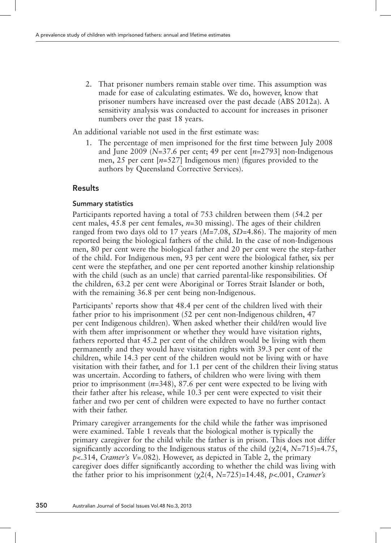2. That prisoner numbers remain stable over time. This assumption was made for ease of calculating estimates. We do, however, know that prisoner numbers have increased over the past decade (ABS 2012a). A sensitivity analysis was conducted to account for increases in prisoner numbers over the past 18 years.

An additional variable not used in the first estimate was:

1. The percentage of men imprisoned for the first time between July 2008 and June 2009 (*N*=37.6 per cent; 49 per cent [*n*=2793] non-Indigenous men, 25 per cent [*n*=527] Indigenous men) (figures provided to the authors by Queensland Corrective Services).

# Results

#### Summary statistics

Participants reported having a total of 753 children between them (54.2 per cent males, 45.8 per cent females, *n*=30 missing). The ages of their children ranged from two days old to 17 years (*M*=7.08, *SD*=4.86). The majority of men reported being the biological fathers of the child. In the case of non-Indigenous men, 80 per cent were the biological father and 20 per cent were the step-father of the child. For Indigenous men, 93 per cent were the biological father, six per cent were the stepfather, and one per cent reported another kinship relationship with the child (such as an uncle) that carried parental-like responsibilities. Of the children, 63.2 per cent were Aboriginal or Torres Strait Islander or both, with the remaining 36.8 per cent being non-Indigenous.

Participants' reports show that 48.4 per cent of the children lived with their father prior to his imprisonment (52 per cent non-Indigenous children, 47 per cent Indigenous children). When asked whether their child/ren would live with them after imprisonment or whether they would have visitation rights, fathers reported that 45.2 per cent of the children would be living with them permanently and they would have visitation rights with 39.3 per cent of the children, while 14.3 per cent of the children would not be living with or have visitation with their father, and for 1.1 per cent of the children their living status was uncertain. According to fathers, of children who were living with them prior to imprisonment (*n*=348), 87.6 per cent were expected to be living with their father after his release, while 10.3 per cent were expected to visit their father and two per cent of children were expected to have no further contact with their father.

Primary caregiver arrangements for the child while the father was imprisoned were examined. Table 1 reveals that the biological mother is typically the primary caregiver for the child while the father is in prison. This does not differ significantly according to the Indigenous status of the child  $(\chi^2)(4, N=715)=4.75$ , *p*<.314, *Cramer's V*=.082). However, as depicted in Table 2, the primary caregiver does differ significantly according to whether the child was living with the father prior to his imprisonment  $(\chi^2/4, N=725)=14.48, p<0.001, Cramer's$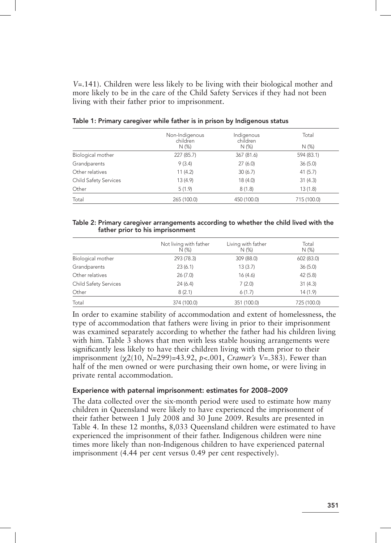*V*=.141). Children were less likely to be living with their biological mother and more likely to be in the care of the Child Safety Services if they had not been living with their father prior to imprisonment.

|                              | Non-Indigenous<br>children | Indigenous<br>children | Total       |  |  |
|------------------------------|----------------------------|------------------------|-------------|--|--|
|                              | $N(\%)$                    | $N$ (%)                | $N$ (%)     |  |  |
| Biological mother            | 227 (85.7)                 | 367 (81.6)             | 594 (83.1)  |  |  |
| Grandparents                 | 9(3.4)                     | 27(6.0)                | 36(5.0)     |  |  |
| Other relatives              | 11(4.2)                    | 30(6.7)                | 41(5.7)     |  |  |
| <b>Child Safety Services</b> | 13(4.9)                    | 18(4.0)                | 31(4.3)     |  |  |
| Other                        | 5(1.9)                     | 8(1.8)                 | 13(1.8)     |  |  |
| Total                        | 265 (100.0)                | 450 (100.0)            | 715 (100.0) |  |  |

Table 1: Primary caregiver while father is in prison by Indigenous status

#### Table 2: Primary caregiver arrangements according to whether the child lived with the father prior to his imprisonment

|                              | Not living with father<br>$N$ (%) | Living with father<br>N (%) | Total<br>$N$ (%)<br>602 (83.0) |  |
|------------------------------|-----------------------------------|-----------------------------|--------------------------------|--|
| Biological mother            | 293 (78.3)                        | 309 (88.0)                  |                                |  |
| Grandparents                 | 23(6.1)                           | 13(3.7)                     | 36(5.0)                        |  |
| Other relatives              | 26(7.0)                           | 16(4.6)                     | 42(5.8)                        |  |
| <b>Child Safety Services</b> | 24(6.4)                           | 7(2.0)                      | 31(4.3)                        |  |
| Other                        | 8(2.1)                            | 6(1.7)                      | 14(1.9)                        |  |
| Total                        | 374 (100.0)                       | 351 (100.0)                 | 725 (100.0)                    |  |

In order to examine stability of accommodation and extent of homelessness, the type of accommodation that fathers were living in prior to their imprisonment was examined separately according to whether the father had his children living with him. Table 3 shows that men with less stable housing arrangements were significantly less likely to have their children living with them prior to their imprisonment ( $\chi$ 2(10, *N*=299)=43.92, *p*<.001, *Cramer's V*=.383). Fewer than half of the men owned or were purchasing their own home, or were living in private rental accommodation.

## Experience with paternal imprisonment: estimates for 2008–2009

The data collected over the six-month period were used to estimate how many children in Queensland were likely to have experienced the imprisonment of their father between 1 July 2008 and 30 June 2009. Results are presented in Table 4. In these 12 months, 8,033 Queensland children were estimated to have experienced the imprisonment of their father. Indigenous children were nine times more likely than non-Indigenous children to have experienced paternal imprisonment (4.44 per cent versus 0.49 per cent respectively).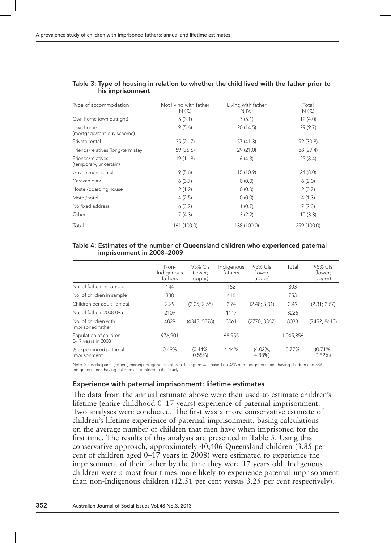| Type of accommodation                       | Not living with father<br>$N$ (%) | Living with father<br>$N(\%)$ | Total<br>$N$ (%) |  |
|---------------------------------------------|-----------------------------------|-------------------------------|------------------|--|
| Own home (own outright)                     | 5(3.1)                            | 7(5.1)                        | 12(4.0)          |  |
| Own home<br>(mortgage/rent-buy scheme)      | 20 (14.5)<br>9(5.6)               |                               | 29(9.7)          |  |
| Private rental                              | 35(21.7)                          | 57 (41.3)                     | 92 (30.8)        |  |
| Friends/relatives (long-term stay)          | 59 (36.6)                         | 29 (21.0)                     | 88 (29.4)        |  |
| Friends/relatives<br>(temporary, uncertain) | 19 (11.8)                         | 6(4.3)                        | 25(8.4)          |  |
| Government rental                           | 9(5.6)                            | 15 (10.9)                     | 24(8.0)          |  |
| Caravan park                                | 6(3.7)                            | 0(0.0)                        | 6(2.0)           |  |
| Hostel/boarding house                       | 2(1.2)                            | 0(0.0)<br>2(0.7)              |                  |  |
| Motel/hotel                                 | 4(2.5)                            | 0(0.0)                        |                  |  |
| No fixed address                            | 6(3.7)                            | 1(0.7)                        |                  |  |
| Other                                       | 7(4.3)                            | 10(3.3)<br>3(2.2)             |                  |  |
| Total                                       | 161 (100.0)                       | 138 (100.0)                   | 299 (100.0)      |  |

#### Table 3: Type of housing in relation to whether the child lived with the father prior to his imprisonment

#### Table 4: Estimates of the number of Queensland children who experienced paternal imprisonment in 2008–2009

|                                              | Non-<br>Indigenous<br>fathers | 95% Cls<br>(lower:<br>upper) | Indigenous<br>fathers | 95% Cls<br>(lower;<br>upper) | Total     | 95% Cls<br>(lower:<br>upper) |
|----------------------------------------------|-------------------------------|------------------------------|-----------------------|------------------------------|-----------|------------------------------|
| No. of fathers in sample                     | 144                           |                              | 152                   |                              | 303       |                              |
| No. of children in sample                    | 330                           |                              | 416                   |                              | 753       |                              |
| Children per adult (lamda)                   | 2.29                          | (2.05: 2.55)                 | 2.74                  | (2.48; 3.01)                 | 2.49      | (2.31; 2.67)                 |
| No. of fathers 2008-09a                      | 2109                          |                              | 1117                  |                              | 3226      |                              |
| No. of children with<br>imprisoned father    | 4829                          | (4345: 5378)                 | 3061                  | (2770: 3362)                 | 8033      | (7452: 8613)                 |
| Population of children<br>0-17 years in 2008 | 976.901                       |                              | 68,955                |                              | 1,045,856 |                              |
| % experienced paternal<br>imprisonment       | 0.49%                         | $(0.44\%$<br>0.55%           | 4.44%                 | $(4.02\%$<br>4.88%)          | 0.77%     | (0.71%<br>0.82%              |

Note. Six participants (fathers) missing Indigenous status. aThis figure was based on 37% non-Indigenous men having children and 53% Indigenous men having children as obtained in this study.

## Experience with paternal imprisonment: lifetime estimates

The data from the annual estimate above were then used to estimate children's lifetime (entire childhood 0–17 years) experience of paternal imprisonment. Two analyses were conducted. The first was a more conservative estimate of children's lifetime experience of paternal imprisonment, basing calculations on the average number of children that men have when imprisoned for the first time. The results of this analysis are presented in Table 5. Using this conservative approach, approximately 40,406 Queensland children (3.85 per cent of children aged 0–17 years in 2008) were estimated to experience the imprisonment of their father by the time they were 17 years old. Indigenous children were almost four times more likely to experience paternal imprisonment than non-Indigenous children (12.51 per cent versus 3.25 per cent respectively).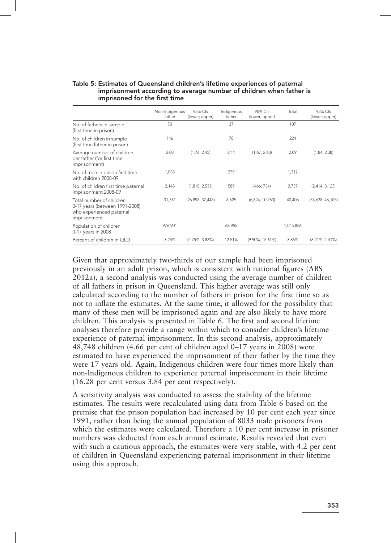#### Table 5: Estimates of Queensland children's lifetime experiences of paternal imprisonment according to average number of children when father is imprisoned for the first time

|                                                                                                        | Non-Indigenous<br>father | 95% Cls<br>(lower; upper) | Indigenous<br>father | 95% Cls<br>(lower; upper) | Total     | 95% Cls<br>(lower; upper) |
|--------------------------------------------------------------------------------------------------------|--------------------------|---------------------------|----------------------|---------------------------|-----------|---------------------------|
| No. of fathers in sample<br>(first time in prison)                                                     | 70                       |                           | 37                   |                           | 107       |                           |
| No. of children in sample<br>(first time father in prison)                                             | 146                      |                           | 78                   |                           | 224       |                           |
| Average number of children<br>per father (for first time<br>imprisonment)                              | 2.08                     | (1.76; 2.45)              | 2.11                 | (1.67; 2.63)              | 2.09      | (1.84; 2.38)              |
| No. of men in prison first time<br>with children 2008-09                                               | 1,033                    |                           | 279                  |                           | 1,312     |                           |
| No. of children first time paternal<br>imprisonment 2008-09                                            | 2,148                    | (1,818; 2,531)            | 589                  | (466; 734)                | 2,737     | (2,414; 3,123)            |
| Total number of children<br>0-17 years (between 1991-2008)<br>who experienced paternal<br>imprisonment | 31,781                   | (26.898; 37,448)          | 8,625                | (6,824; 10,763)           | 40.406    | (35,638; 46,105)          |
| Population of children<br>0-17 years in 2008                                                           | 976,901                  |                           | 68,955               |                           | 1,045,856 |                           |
| Percent of children in QLD                                                                             | 3.25%                    | $(2.75\%; 3.83\%)$        | 12.51%               | $(9.90\%; 15.61\%)$       | 3.86%     | $(3.41\%; 4.41\%)$        |

Given that approximately two-thirds of our sample had been imprisoned previously in an adult prison, which is consistent with national figures (ABS 2012a), a second analysis was conducted using the average number of children of all fathers in prison in Queensland. This higher average was still only calculated according to the number of fathers in prison for the first time so as not to inflate the estimates. At the same time, it allowed for the possibility that many of these men will be imprisoned again and are also likely to have more children. This analysis is presented in Table 6. The first and second lifetime analyses therefore provide a range within which to consider children's lifetime experience of paternal imprisonment. In this second analysis, approximately 48,748 children (4.66 per cent of children aged 0–17 years in 2008) were estimated to have experienced the imprisonment of their father by the time they were 17 years old. Again, Indigenous children were four times more likely than non-Indigenous children to experience paternal imprisonment in their lifetime (16.28 per cent versus 3.84 per cent respectively).

A sensitivity analysis was conducted to assess the stability of the lifetime estimates. The results were recalculated using data from Table 6 based on the premise that the prison population had increased by 10 per cent each year since 1991, rather than being the annual population of 8033 male prisoners from which the estimates were calculated. Therefore a 10 per cent increase in prisoner numbers was deducted from each annual estimate. Results revealed that even with such a cautious approach, the estimates were very stable, with 4.2 per cent of children in Queensland experiencing paternal imprisonment in their lifetime using this approach.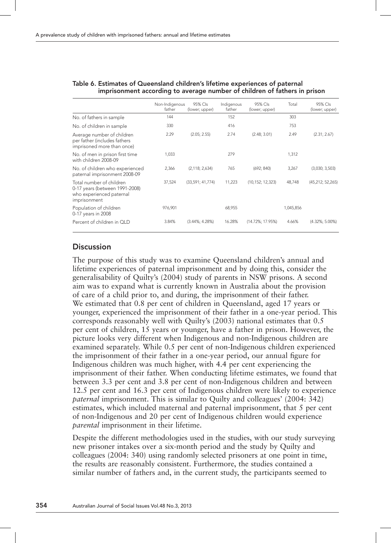|                                                                                                        | Non-Indigenous<br>father | 95% Cls<br>(lower; upper) | Indigenous<br>father | 95% Cls<br>(lower; upper) | Total     | 95% Cls<br>(lower; upper) |
|--------------------------------------------------------------------------------------------------------|--------------------------|---------------------------|----------------------|---------------------------|-----------|---------------------------|
| No. of fathers in sample                                                                               | 144                      |                           | 152                  |                           | 303       |                           |
| No. of children in sample                                                                              | 330                      |                           | 416                  |                           | 753       |                           |
| Average number of children<br>per father (includes fathers<br>imprisoned more than once)               | 2.29                     | (2.05; 2.55)              | 2.74                 | (2.48; 3.01)              | 2.49      | (2.31; 2.67)              |
| No. of men in prison first time<br>with children 2008-09                                               | 1.033                    |                           | 279                  |                           | 1.312     |                           |
| No. of children who experienced<br>paternal imprisonment 2008-09                                       | 2,366                    | (2, 118; 2, 634)          | 765                  | (692; 840)                | 3,267     | (3,030; 3,503)            |
| Total number of children<br>0-17 years (between 1991-2008)<br>who experienced paternal<br>imprisonment | 37,524                   | (33,591; 41,774)          | 11,223               | (10, 152; 12, 323)        | 48,748    | (45,212; 52,265)          |
| Population of children<br>0-17 years in 2008                                                           | 976,901                  |                           | 68,955               |                           | 1,045,856 |                           |
| Percent of children in OLD                                                                             | 3.84%                    | $(3.44\%; 4.28\%)$        | 16.28%               | (14.72%; 17.95%)          | 4.66%     | $(4.32\%; 5.00\%)$        |

#### Table 6. Estimates of Queensland children's lifetime experiences of paternal imprisonment according to average number of children of fathers in prison

# **Discussion**

The purpose of this study was to examine Queensland children's annual and lifetime experiences of paternal imprisonment and by doing this, consider the generalisability of Quilty's (2004) study of parents in NSW prisons. A second aim was to expand what is currently known in Australia about the provision of care of a child prior to, and during, the imprisonment of their father. We estimated that 0.8 per cent of children in Queensland, aged 17 years or younger, experienced the imprisonment of their father in a one-year period. This corresponds reasonably well with Quilty's (2003) national estimates that 0.5 per cent of children, 15 years or younger, have a father in prison. However, the picture looks very different when Indigenous and non-Indigenous children are examined separately. While 0.5 per cent of non-Indigenous children experienced the imprisonment of their father in a one-year period, our annual figure for Indigenous children was much higher, with 4.4 per cent experiencing the imprisonment of their father. When conducting lifetime estimates, we found that between 3.3 per cent and 3.8 per cent of non-Indigenous children and between 12.5 per cent and 16.3 per cent of Indigenous children were likely to experience *paternal* imprisonment. This is similar to Quilty and colleagues' (2004: 342) estimates, which included maternal and paternal imprisonment, that 5 per cent of non-Indigenous and 20 per cent of Indigenous children would experience *parental* imprisonment in their lifetime.

Despite the different methodologies used in the studies, with our study surveying new prisoner intakes over a six-month period and the study by Quilty and colleagues (2004: 340) using randomly selected prisoners at one point in time, the results are reasonably consistent. Furthermore, the studies contained a similar number of fathers and, in the current study, the participants seemed to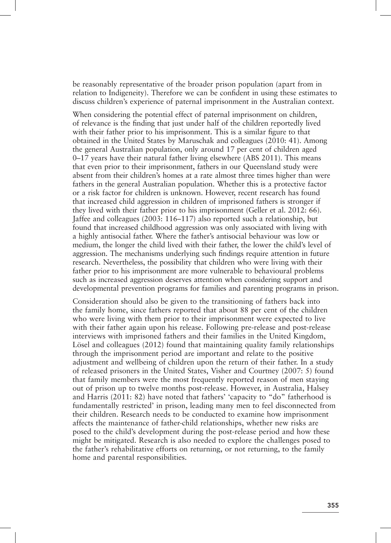be reasonably representative of the broader prison population (apart from in relation to Indigeneity). Therefore we can be confident in using these estimates to discuss children's experience of paternal imprisonment in the Australian context.

When considering the potential effect of paternal imprisonment on children, of relevance is the finding that just under half of the children reportedly lived with their father prior to his imprisonment. This is a similar figure to that obtained in the United States by Maruschak and colleagues (2010: 41). Among the general Australian population, only around 17 per cent of children aged 0–17 years have their natural father living elsewhere (ABS 2011). This means that even prior to their imprisonment, fathers in our Queensland study were absent from their children's homes at a rate almost three times higher than were fathers in the general Australian population. Whether this is a protective factor or a risk factor for children is unknown. However, recent research has found that increased child aggression in children of imprisoned fathers is stronger if they lived with their father prior to his imprisonment (Geller et al. 2012: 66). Jaffee and colleagues (2003: 116–117) also reported such a relationship, but found that increased childhood aggression was only associated with living with a highly antisocial father. Where the father's antisocial behaviour was low or medium, the longer the child lived with their father, the lower the child's level of aggression. The mechanisms underlying such findings require attention in future research. Nevertheless, the possibility that children who were living with their father prior to his imprisonment are more vulnerable to behavioural problems such as increased aggression deserves attention when considering support and developmental prevention programs for families and parenting programs in prison.

Consideration should also be given to the transitioning of fathers back into the family home, since fathers reported that about 88 per cent of the children who were living with them prior to their imprisonment were expected to live with their father again upon his release. Following pre-release and post-release interviews with imprisoned fathers and their families in the United Kingdom, Lösel and colleagues (2012) found that maintaining quality family relationships through the imprisonment period are important and relate to the positive adjustment and wellbeing of children upon the return of their father. In a study of released prisoners in the United States, Visher and Courtney (2007: 5) found that family members were the most frequently reported reason of men staying out of prison up to twelve months post-release. However, in Australia, Halsey and Harris (2011: 82) have noted that fathers' 'capacity to "do" fatherhood is fundamentally restricted' in prison, leading many men to feel disconnected from their children. Research needs to be conducted to examine how imprisonment affects the maintenance of father-child relationships, whether new risks are posed to the child's development during the post-release period and how these might be mitigated. Research is also needed to explore the challenges posed to the father's rehabilitative efforts on returning, or not returning, to the family home and parental responsibilities.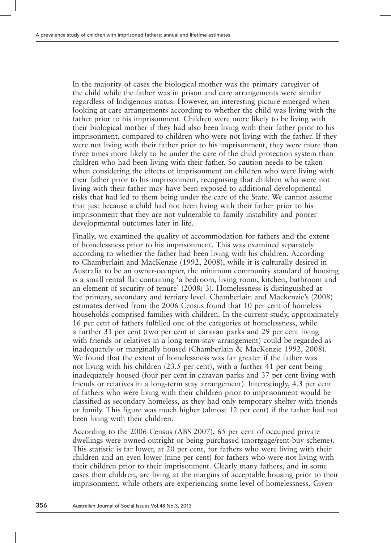In the majority of cases the biological mother was the primary caregiver of the child while the father was in prison and care arrangements were similar regardless of Indigenous status. However, an interesting picture emerged when looking at care arrangements according to whether the child was living with the father prior to his imprisonment. Children were more likely to be living with their biological mother if they had also been living with their father prior to his imprisonment, compared to children who were not living with the father. If they were not living with their father prior to his imprisonment, they were more than three times more likely to be under the care of the child protection system than children who had been living with their father. So caution needs to be taken when considering the effects of imprisonment on children who were living with their father prior to his imprisonment, recognising that children who were not living with their father may have been exposed to additional developmental risks that had led to them being under the care of the State. We cannot assume that just because a child had not been living with their father prior to his imprisonment that they are not vulnerable to family instability and poorer developmental outcomes later in life.

Finally, we examined the quality of accommodation for fathers and the extent of homelessness prior to his imprisonment. This was examined separately according to whether the father had been living with his children. According to Chamberlain and MacKenzie (1992, 2008), while it is culturally desired in Australia to be an owner-occupier, the minimum community standard of housing is a small rental flat containing 'a bedroom, living room, kitchen, bathroom and an element of security of tenure' (2008: 3). Homelessness is distinguished at the primary, secondary and tertiary level. Chamberlain and Mackenzie's (2008) estimates derived from the 2006 Census found that 10 per cent of homeless households comprised families with children. In the current study, approximately 16 per cent of fathers fulfilled one of the categories of homelessness, while a further 31 per cent (two per cent in caravan parks and 29 per cent living with friends or relatives in a long-term stay arrangement) could be regarded as inadequately or marginally housed (Chamberlain & MacKenzie 1992, 2008). We found that the extent of homelessness was far greater if the father was not living with his children (23.5 per cent), with a further 41 per cent being inadequately housed (four per cent in caravan parks and 37 per cent living with friends or relatives in a long-term stay arrangement). Interestingly, 4.3 per cent of fathers who were living with their children prior to imprisonment would be classified as secondary homeless, as they had only temporary shelter with friends or family. This figure was much higher (almost 12 per cent) if the father had not been living with their children.

According to the 2006 Census (ABS 2007), 65 per cent of occupied private dwellings were owned outright or being purchased (mortgage/rent-buy scheme). This statistic is far lower, at 20 per cent, for fathers who were living with their children and an even lower (nine per cent) for fathers who were not living with their children prior to their imprisonment. Clearly many fathers, and in some cases their children, are living at the margins of acceptable housing prior to their imprisonment, while others are experiencing some level of homelessness. Given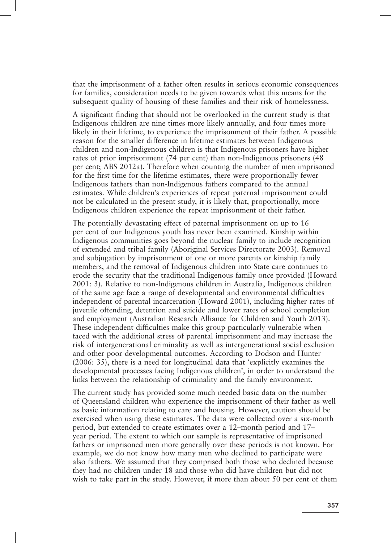that the imprisonment of a father often results in serious economic consequences for families, consideration needs to be given towards what this means for the subsequent quality of housing of these families and their risk of homelessness.

A significant finding that should not be overlooked in the current study is that Indigenous children are nine times more likely annually, and four times more likely in their lifetime, to experience the imprisonment of their father. A possible reason for the smaller difference in lifetime estimates between Indigenous children and non-Indigenous children is that Indigenous prisoners have higher rates of prior imprisonment (74 per cent) than non-Indigenous prisoners (48 per cent; ABS 2012a). Therefore when counting the number of men imprisoned for the first time for the lifetime estimates, there were proportionally fewer Indigenous fathers than non-Indigenous fathers compared to the annual estimates. While children's experiences of repeat paternal imprisonment could not be calculated in the present study, it is likely that, proportionally, more Indigenous children experience the repeat imprisonment of their father.

The potentially devastating effect of paternal imprisonment on up to 16 per cent of our Indigenous youth has never been examined. Kinship within Indigenous communities goes beyond the nuclear family to include recognition of extended and tribal family (Aboriginal Services Directorate 2003). Removal and subjugation by imprisonment of one or more parents or kinship family members, and the removal of Indigenous children into State care continues to erode the security that the traditional Indigenous family once provided (Howard 2001: 3). Relative to non-Indigenous children in Australia, Indigenous children of the same age face a range of developmental and environmental difficulties independent of parental incarceration (Howard 2001), including higher rates of juvenile offending, detention and suicide and lower rates of school completion and employment (Australian Research Alliance for Children and Youth 2013). These independent difficulties make this group particularly vulnerable when faced with the additional stress of parental imprisonment and may increase the risk of intergenerational criminality as well as intergenerational social exclusion and other poor developmental outcomes. According to Dodson and Hunter (2006: 35), there is a need for longitudinal data that 'explicitly examines the developmental processes facing Indigenous children', in order to understand the links between the relationship of criminality and the family environment.

The current study has provided some much needed basic data on the number of Queensland children who experience the imprisonment of their father as well as basic information relating to care and housing. However, caution should be exercised when using these estimates. The data were collected over a six-month period, but extended to create estimates over a 12–month period and 17– year period. The extent to which our sample is representative of imprisoned fathers or imprisoned men more generally over these periods is not known. For example, we do not know how many men who declined to participate were also fathers. We assumed that they comprised both those who declined because they had no children under 18 and those who did have children but did not wish to take part in the study. However, if more than about 50 per cent of them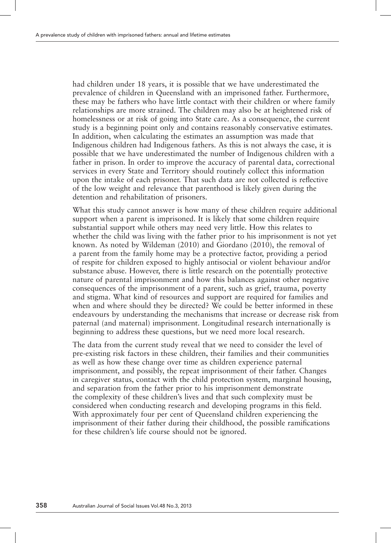had children under 18 years, it is possible that we have underestimated the prevalence of children in Queensland with an imprisoned father. Furthermore, these may be fathers who have little contact with their children or where family relationships are more strained. The children may also be at heightened risk of homelessness or at risk of going into State care. As a consequence, the current study is a beginning point only and contains reasonably conservative estimates. In addition, when calculating the estimates an assumption was made that Indigenous children had Indigenous fathers. As this is not always the case, it is possible that we have underestimated the number of Indigenous children with a father in prison. In order to improve the accuracy of parental data, correctional services in every State and Territory should routinely collect this information upon the intake of each prisoner. That such data are not collected is reflective of the low weight and relevance that parenthood is likely given during the detention and rehabilitation of prisoners.

What this study cannot answer is how many of these children require additional support when a parent is imprisoned. It is likely that some children require substantial support while others may need very little. How this relates to whether the child was living with the father prior to his imprisonment is not yet known. As noted by Wildeman (2010) and Giordano (2010), the removal of a parent from the family home may be a protective factor, providing a period of respite for children exposed to highly antisocial or violent behaviour and/or substance abuse. However, there is little research on the potentially protective nature of parental imprisonment and how this balances against other negative consequences of the imprisonment of a parent, such as grief, trauma, poverty and stigma. What kind of resources and support are required for families and when and where should they be directed? We could be better informed in these endeavours by understanding the mechanisms that increase or decrease risk from paternal (and maternal) imprisonment. Longitudinal research internationally is beginning to address these questions, but we need more local research.

The data from the current study reveal that we need to consider the level of pre-existing risk factors in these children, their families and their communities as well as how these change over time as children experience paternal imprisonment, and possibly, the repeat imprisonment of their father. Changes in caregiver status, contact with the child protection system, marginal housing, and separation from the father prior to his imprisonment demonstrate the complexity of these children's lives and that such complexity must be considered when conducting research and developing programs in this field. With approximately four per cent of Queensland children experiencing the imprisonment of their father during their childhood, the possible ramifications for these children's life course should not be ignored.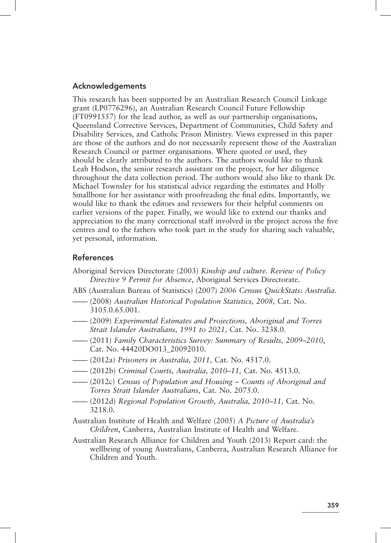## Acknowledgements

This research has been supported by an Australian Research Council Linkage grant (LP0776296), an Australian Research Council Future Fellowship (FT0991557) for the lead author, as well as our partnership organisations, Queensland Corrective Services, Department of Communities, Child Safety and Disability Services, and Catholic Prison Ministry. Views expressed in this paper are those of the authors and do not necessarily represent those of the Australian Research Council or partner organisations. Where quoted or used, they should be clearly attributed to the authors. The authors would like to thank Leah Hodson, the senior research assistant on the project, for her diligence throughout the data collection period. The authors would also like to thank Dr. Michael Townsley for his statistical advice regarding the estimates and Holly Smallbone for her assistance with proofreading the final edits. Importantly, we would like to thank the editors and reviewers for their helpful comments on earlier versions of the paper. Finally, we would like to extend our thanks and appreciation to the many correctional staff involved in the project across the five centres and to the fathers who took part in the study for sharing such valuable, yet personal, information.

# References

- Aboriginal Services Directorate (2003) *Kinship and culture. Review of Policy Directive 9 Permit for Absence*, Aboriginal Services Directorate.
- ABS (Australian Bureau of Statistics) (2007) *2006 Census QuickStats: Australia*.
- —— (2008) *Australian Historical Population Statistics, 2008,* Cat. No. 3105.0.65.001.
- —— (2009) *Experimental Estimates and Projections, Aboriginal and Torres Strait Islander Australians, 1991 to 2021,* Cat. No. 3238.0.
- —— (2011) *Family Characteristics Survey: Summary of Results, 2009–2010*, Cat. No. 44420DO013\_20092010.
- —— (2012a) *Prisoners in Australia, 2011,* Cat. No. 4517.0.
- —— (2012b) *Criminal Courts, Australia, 2010–11,* Cat. No. 4513.0.
- —— (2012c) *Census of Population and Housing Counts of Aboriginal and Torres Strait Islander Australians,* Cat. No. 2075.0.
- —— (2012d) *Regional Population Growth, Australia, 2010–11,* Cat. No. 3218.0.
- Australian Institute of Health and Welfare (2005) *A Picture of Australia's Children*, Canberra, Australian Institute of Health and Welfare.
- Australian Research Alliance for Children and Youth (2013) Report card: the wellbeing of young Australians, Canberra, Australian Research Alliance for Children and Youth.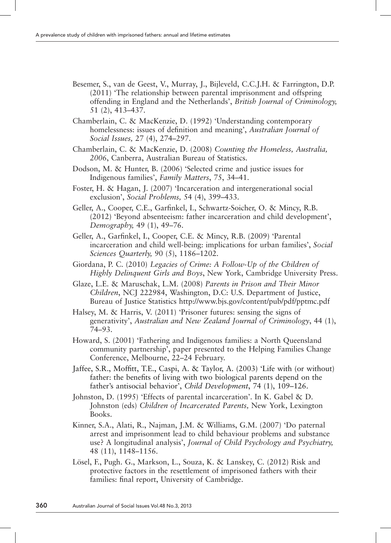- Besemer, S., van de Geest, V., Murray, J., Bijleveld, C.C.J.H. & Farrington, D.P. (2011) 'The relationship between parental imprisonment and offspring offending in England and the Netherlands', *British Journal of Criminology,*  51 (2), 413–437.
- Chamberlain, C. & MacKenzie, D. (1992) 'Understanding contemporary homelessness: issues of definition and meaning', *Australian Journal of Social Issues,* 27 (4), 274–297.
- Chamberlain, C. & MacKenzie, D. (2008) *Counting the Homeless, Australia, 2006*, Canberra, Australian Bureau of Statistics.
- Dodson, M. & Hunter, B. (2006) 'Selected crime and justice issues for Indigenous families', *Family Matters*, 75, 34–41.
- Foster, H. & Hagan, J. (2007) 'Incarceration and intergenerational social exclusion', *Social Problems,* 54 (4), 399–433.
- Geller, A., Cooper, C.E., Garfinkel, I., Schwartz-Soicher, O. & Mincy, R.B. (2012) 'Beyond absenteeism: father incarceration and child development', *Demography,* 49 (1), 49–76.
- Geller, A., Garfinkel, I., Cooper, C.E. & Mincy, R.B. (2009) 'Parental incarceration and child well-being: implications for urban families', *Social Sciences Quarterly,* 90 (5), 1186–1202.
- Giordana, P. C. (2010) *Legacies of Crime: A Follow‑Up of the Children of Highly Delinquent Girls and Boys*, New York, Cambridge University Press.
- Glaze, L.E. & Maruschak, L.M. (2008) *Parents in Prison and Their Minor Children*, NCJ 222984, Washington, D.C: U.S. Department of Justice, Bureau of Justice Statistics http://www.bjs.gov/content/pub/pdf/pptmc.pdf
- Halsey, M. & Harris, V. (2011) 'Prisoner futures: sensing the signs of generativity', *Australian and New Zealand Journal of Criminology*, 44 (1), 74–93.
- Howard, S. (2001) 'Fathering and Indigenous families: a North Queensland community partnership', paper presented to the Helping Families Change Conference, Melbourne, 22–24 February.
- Jaffee, S.R., Moffitt, T.E., Caspi, A. & Taylor, A. (2003) 'Life with (or without) father: the benefits of living with two biological parents depend on the father's antisocial behavior', *Child Development*, 74 (1), 109–126.
- Johnston, D. (1995) 'Effects of parental incarceration'. In K. Gabel & D. Johnston (eds) *Children of Incarcerated Parents,* New York, Lexington Books.
- Kinner, S.A., Alati, R., Najman, J.M. & Williams, G.M. (2007) 'Do paternal arrest and imprisonment lead to child behaviour problems and substance use? A longitudinal analysis', *Journal of Child Psychology and Psychiatry,*  48 (11), 1148–1156.
- Lösel, F., Pugh. G., Markson, L., Souza, K. & Lanskey, C. (2012) Risk and protective factors in the resettlement of imprisoned fathers with their families: final report, University of Cambridge.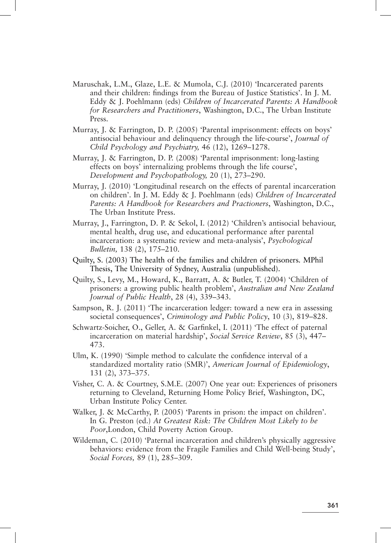- Maruschak, L.M., Glaze, L.E. & Mumola, C.J. (2010) 'Incarcerated parents and their children: findings from the Bureau of Justice Statistics'. In J. M. Eddy & J. Poehlmann (eds) *Children of Incarcerated Parents: A Handbook for Researchers and Practitioners*, Washington, D.C., The Urban Institute Press.
- Murray, J. & Farrington, D. P. (2005) 'Parental imprisonment: effects on boys' antisocial behaviour and delinquency through the life-course', *Journal of Child Psychology and Psychiatry,* 46 (12), 1269–1278.
- Murray, J. & Farrington, D. P. (2008) 'Parental imprisonment: long-lasting effects on boys' internalizing problems through the life course', *Development and Psychopathology,* 20 (1), 273–290.
- Murray, J. (2010) 'Longitudinal research on the effects of parental incarceration on children'. In J. M. Eddy & J. Poehlmann (eds) *Children of Incarcerated Parents: A Handbook for Researchers and Practioners*, Washington, D.C., The Urban Institute Press.
- Murray, J., Farrington, D. P. & Sekol, I. (2012) 'Children's antisocial behaviour, mental health, drug use, and educational performance after parental incarceration: a systematic review and meta-analysis', *Psychological Bulletin,* 138 (2), 175–210.
- Quilty, S. (2003) The health of the families and children of prisoners*.* MPhil Thesis, The University of Sydney, Australia (unpublished).
- Quilty, S., Levy, M., Howard, K., Barratt, A. & Butler, T. (2004) 'Children of prisoners: a growing public health problem', *Australian and New Zealand Journal of Public Health*, 28 (4), 339–343.
- Sampson, R. J. (2011) 'The incarceration ledger: toward a new era in assessing societal consequences', *Criminology and Public Policy*, 10 (3), 819–828.
- Schwartz-Soicher, O., Geller, A. & Garfinkel, I. (2011) 'The effect of paternal incarceration on material hardship', *Social Service Review*, 85 (3), 447– 473.
- Ulm, K. (1990) 'Simple method to calculate the confidence interval of a standardized mortality ratio (SMR)', *American Journal of Epidemiology*, 131 (2), 373–375.
- Visher, C. A. & Courtney, S.M.E. (2007) One year out: Experiences of prisoners returning to Cleveland, Returning Home Policy Brief, Washington, DC, Urban Institute Policy Center.
- Walker, J. & McCarthy, P. (2005) 'Parents in prison: the impact on children'. In G. Preston (ed.) *At Greatest Risk: The Children Most Likely to be Poor*,London, Child Poverty Action Group.
- Wildeman, C. (2010) 'Paternal incarceration and children's physically aggressive behaviors: evidence from the Fragile Families and Child Well-being Study', *Social Forces,* 89 (1), 285–309.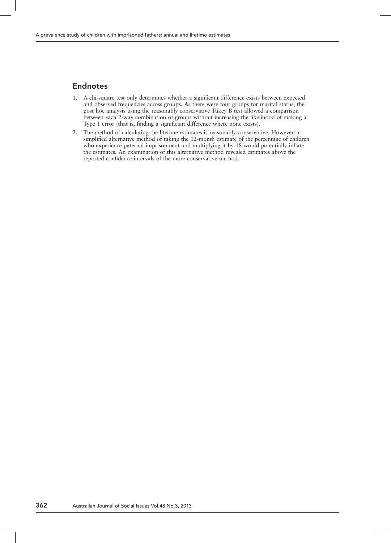# Endnotes

- 1. A chi-square test only determines whether a significant difference exists between expected and observed frequencies across groups. As there were four groups for marital status, the post hoc analysis using the reasonably conservative Tukey B test allowed a comparison between each 2-way combination of groups without increasing the likelihood of making a Type 1 error (that is, finding a significant difference where none exists).
- 2. The method of calculating the lifetime estimates is reasonably conservative. However, a simplified alternative method of taking the 12-month estimate of the percentage of children who experience paternal imprisonment and multiplying it by 18 would potentially inflate the estimates. An examination of this alternative method revealed estimates above the reported confidence intervals of the more conservative method.